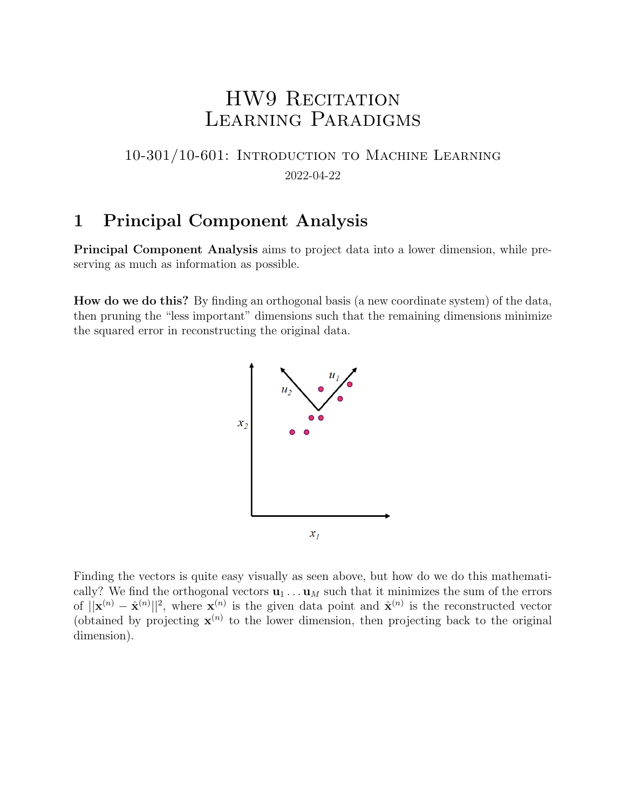# HW9 RECITATION Learning Paradigms

## 10-301/10-601: Introduction to Machine Learning 2022-04-22

# 1 Principal Component Analysis

Principal Component Analysis aims to project data into a lower dimension, while preserving as much as information as possible.

How do we do this? By finding an orthogonal basis (a new coordinate system) of the data, then pruning the "less important" dimensions such that the remaining dimensions minimize the squared error in reconstructing the original data.



Finding the vectors is quite easy visually as seen above, but how do we do this mathematically? We find the orthogonal vectors  $\mathbf{u}_1 \dots \mathbf{u}_M$  such that it minimizes the sum of the errors of  $||\mathbf{x}^{(n)} - \hat{\mathbf{x}}^{(n)}||^2$ , where  $\mathbf{x}^{(n)}$  is the given data point and  $\hat{\mathbf{x}}^{(n)}$  is the reconstructed vector (obtained by projecting  $\mathbf{x}^{(n)}$  to the lower dimension, then projecting back to the original dimension).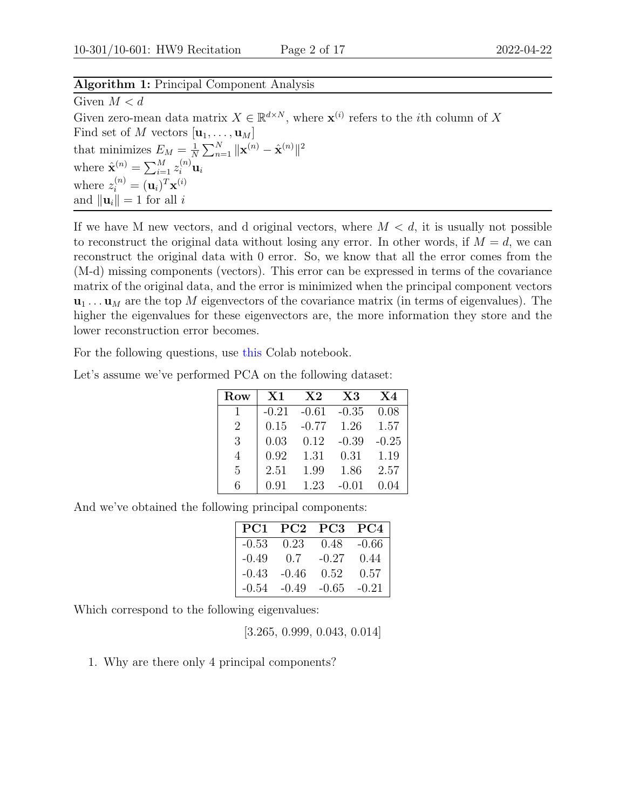#### Algorithm 1: Principal Component Analysis

Given  $M < d$ Given zero-mean data matrix  $X \in \mathbb{R}^{d \times N}$ , where  $\mathbf{x}^{(i)}$  refers to the *i*th column of X Find set of M vectors  $[\mathbf{u}_1, \dots, \mathbf{u}_M]$ that minimizes  $E_M = \frac{1}{N}$  $\frac{1}{N} \sum_{n=1}^N \|\mathbf{x}^{(n)} - \hat{\mathbf{x}}^{(n)}\|^2$ where  $\hat{\mathbf{x}}^{(n)} = \sum_{i=1}^{M} z_i^{(n)} \mathbf{u}_i$ where  $z_i^{(n)} = (\mathbf{u}_i)^T \mathbf{x}^{(i)}$ and  $\|\mathbf{u}_i\| = 1$  for all i

If we have M new vectors, and d original vectors, where  $M < d$ , it is usually not possible to reconstruct the original data without losing any error. In other words, if  $M = d$ , we can reconstruct the original data with 0 error. So, we know that all the error comes from the (M-d) missing components (vectors). This error can be expressed in terms of the covariance matrix of the original data, and the error is minimized when the principal component vectors  $\mathbf{u}_1 \dots \mathbf{u}_M$  are the top M eigenvectors of the covariance matrix (in terms of eigenvalues). The higher the eigenvalues for these eigenvectors are, the more information they store and the lower reconstruction error becomes.

For the following questions, use [this]( https://colab.research.google.com/drive/1qfAw681MGmiFQ0NrZfjrd6dfiWKM6OIV#scrollTo=t9Uxz3HIdCFP) Colab notebook.

| Let's assume we've performed PCA on the following dataset: |  |  |  |  |  |  |  |
|------------------------------------------------------------|--|--|--|--|--|--|--|
|------------------------------------------------------------|--|--|--|--|--|--|--|

| Row            | $\rm X1$ | $\bf{X2}$ | $\rm X3$     | X4      |
|----------------|----------|-----------|--------------|---------|
| 1              | $-0.21$  | $-0.61$   | $-0.35$      | 0.08    |
| $\overline{2}$ | 0.15     | $-0.77$   | 1.26         | 1.57    |
| 3              | 0.03     | 0.12      | $-0.39$      | $-0.25$ |
| 4              | 0.92     | 1.31      | 0.31         | 1.19    |
| 5              | 2.51     | 1.99      | 1.86         | 2.57    |
| 6              | 0.91     | 1.23      | $-()$ . $()$ | 0.04    |

And we've obtained the following principal components:

| PC <sub>1</sub> | PC2     | PC <sub>3</sub> | PC4     |
|-----------------|---------|-----------------|---------|
| $-0.53$         | 0.23    | 0.48            | $-0.66$ |
| $-0.49$         | 0.7     | $-0.27$         | 0.44    |
| $-0.43$         | $-0.46$ | 0.52            | 0.57    |
| $-0.54$         | $-0.49$ | $-0.65$         | $-0.21$ |

Which correspond to the following eigenvalues:

[3.265, 0.999, 0.043, 0.014]

1. Why are there only 4 principal components?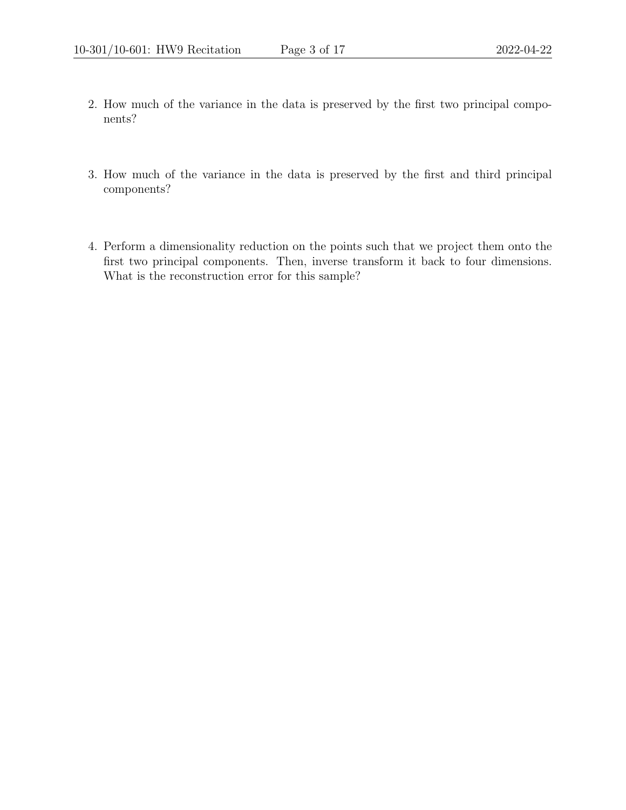- 2. How much of the variance in the data is preserved by the first two principal components?
- 3. How much of the variance in the data is preserved by the first and third principal components?
- 4. Perform a dimensionality reduction on the points such that we project them onto the first two principal components. Then, inverse transform it back to four dimensions. What is the reconstruction error for this sample?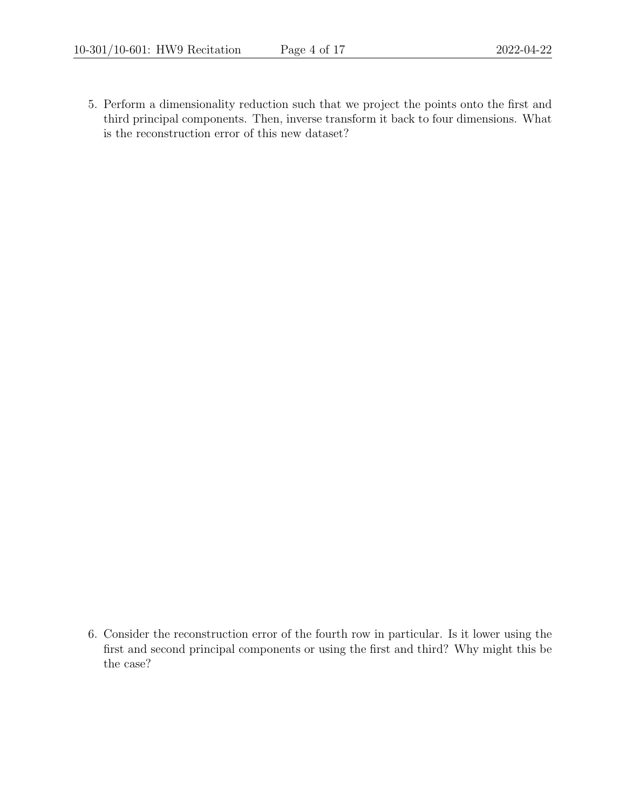5. Perform a dimensionality reduction such that we project the points onto the first and third principal components. Then, inverse transform it back to four dimensions. What is the reconstruction error of this new dataset?

6. Consider the reconstruction error of the fourth row in particular. Is it lower using the first and second principal components or using the first and third? Why might this be the case?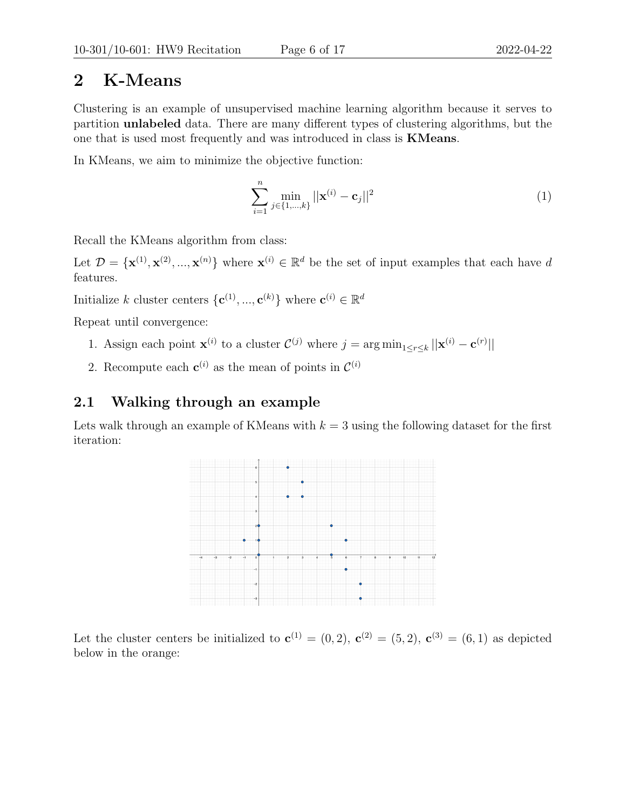## 2 K-Means

Clustering is an example of unsupervised machine learning algorithm because it serves to partition unlabeled data. There are many different types of clustering algorithms, but the one that is used most frequently and was introduced in class is KMeans.

In KMeans, we aim to minimize the objective function:

$$
\sum_{i=1}^{n} \min_{j \in \{1, \dots, k\}} ||\mathbf{x}^{(i)} - \mathbf{c}_j||^2
$$
 (1)

Recall the KMeans algorithm from class:

Let  $\mathcal{D} = {\mathbf{x}^{(1)}, \mathbf{x}^{(2)}, ..., \mathbf{x}^{(n)}}$  where  $\mathbf{x}^{(i)} \in \mathbb{R}^d$  be the set of input examples that each have d features.

Initialize k cluster centers  $\{\mathbf{c}^{(1)},...,\mathbf{c}^{(k)}\}$  where  $\mathbf{c}^{(i)} \in \mathbb{R}^d$ 

Repeat until convergence:

- 1. Assign each point  $\mathbf{x}^{(i)}$  to a cluster  $\mathcal{C}^{(j)}$  where  $j = \arg \min_{1 \leq r \leq k} ||\mathbf{x}^{(i)} \mathbf{c}^{(r)}||$
- 2. Recompute each  $c^{(i)}$  as the mean of points in  $\mathcal{C}^{(i)}$

### 2.1 Walking through an example

Lets walk through an example of KMeans with  $k = 3$  using the following dataset for the first iteration:



Let the cluster centers be initialized to  $\mathbf{c}^{(1)} = (0, 2)$ ,  $\mathbf{c}^{(2)} = (5, 2)$ ,  $\mathbf{c}^{(3)} = (6, 1)$  as depicted below in the orange: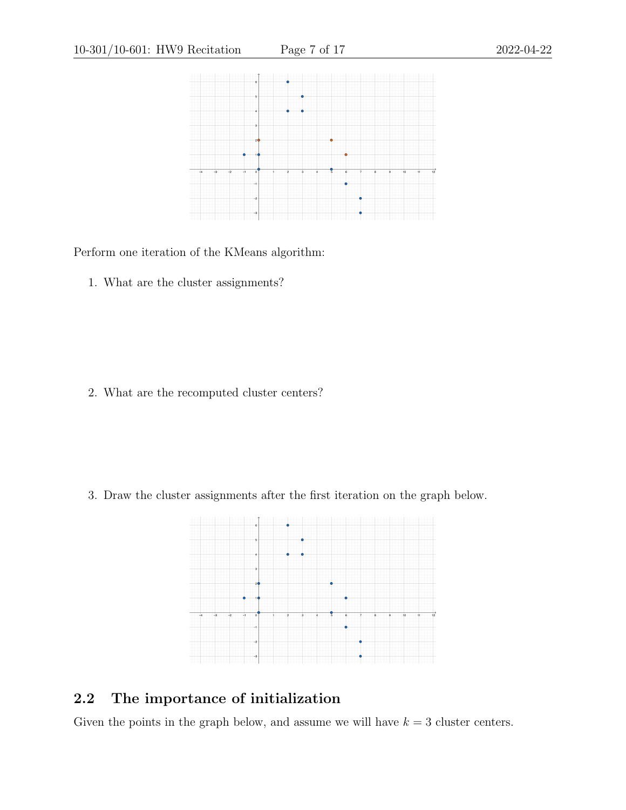

Perform one iteration of the KMeans algorithm:

1. What are the cluster assignments?

2. What are the recomputed cluster centers?

3. Draw the cluster assignments after the first iteration on the graph below.



## 2.2 The importance of initialization

Given the points in the graph below, and assume we will have  $k = 3$  cluster centers.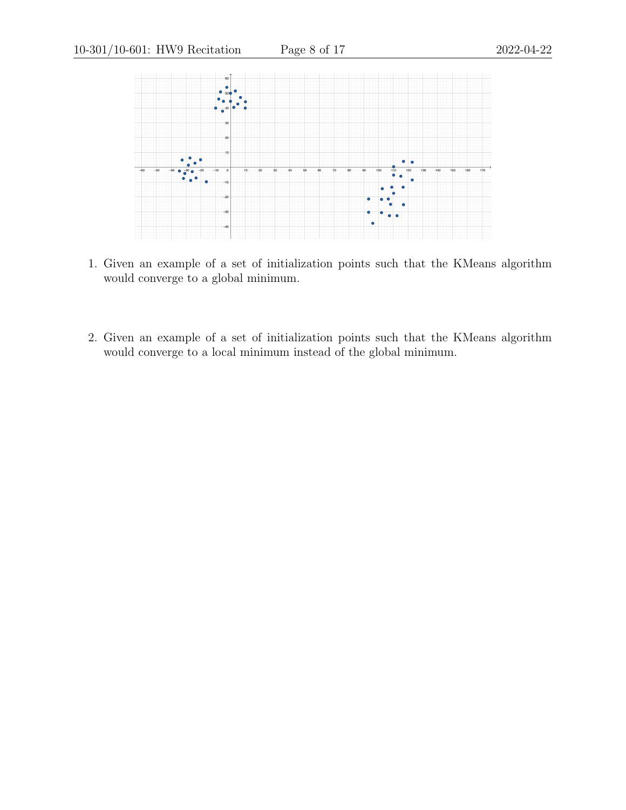

- 1. Given an example of a set of initialization points such that the KMeans algorithm would converge to a global minimum.
- 2. Given an example of a set of initialization points such that the KMeans algorithm would converge to a local minimum instead of the global minimum.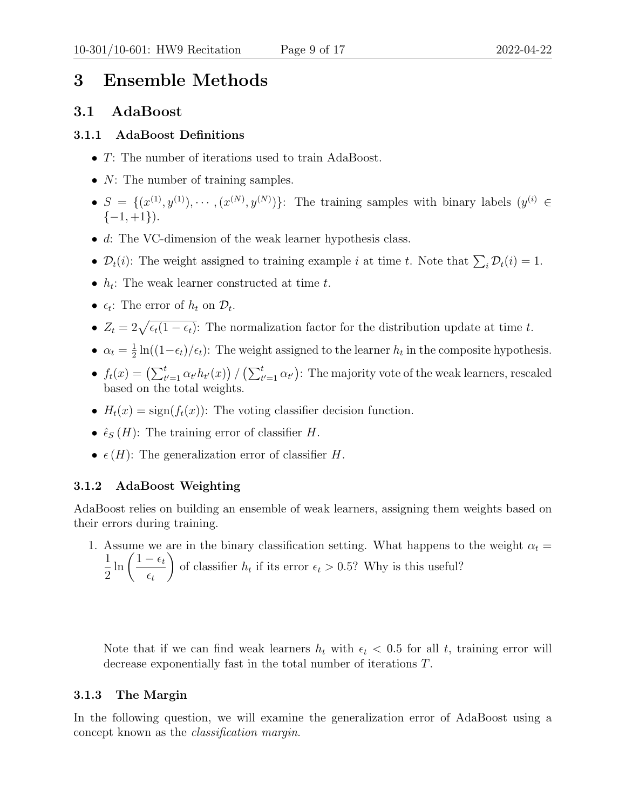# 3 Ensemble Methods

### 3.1 AdaBoost

#### 3.1.1 AdaBoost Definitions

- T: The number of iterations used to train AdaBoost.
- $N$ : The number of training samples.
- $S = \{(x^{(1)}, y^{(1)}), \cdots, (x^{(N)}, y^{(N)})\}$ : The training samples with binary labels  $(y^{(i)} \in$  $\{-1, +1\}$ ).
- $\bullet$  d: The VC-dimension of the weak learner hypothesis class.
- $\mathcal{D}_t(i)$ : The weight assigned to training example *i* at time *t*. Note that  $\sum_i \mathcal{D}_t(i) = 1$ .
- $h_t$ : The weak learner constructed at time t.
- $\epsilon_t$ : The error of  $h_t$  on  $\mathcal{D}_t$ .
- $Z_t = 2\sqrt{\epsilon_t(1-\epsilon_t)}$ : The normalization factor for the distribution update at time t.
- $\bullet \ \alpha_t = \frac{1}{2}$  $\frac{1}{2} \ln((1-\epsilon_t)/\epsilon_t)$ : The weight assigned to the learner  $h_t$  in the composite hypothesis.
- $f_t(x) = (\sum_{t'=1}^t \alpha_{t'} h_{t'}(x)) / (\sum_{t'=1}^t \alpha_{t'})$ : The majority vote of the weak learners, rescaled based on the total weights.
- $H_t(x) = \text{sign}(f_t(x))$ : The voting classifier decision function.
- $\hat{\epsilon}_S(H)$ : The training error of classifier H.
- $\epsilon(H)$ : The generalization error of classifier H.

### 3.1.2 AdaBoost Weighting

AdaBoost relies on building an ensemble of weak learners, assigning them weights based on their errors during training.

1. Assume we are in the binary classification setting. What happens to the weight  $\alpha_t =$ 1 2  $\ln\left( \frac{1-\epsilon_t}{\epsilon_t} \right)$  $\epsilon_t$  $\setminus$ of classifier  $h_t$  if its error  $\epsilon_t > 0.5$ ? Why is this useful?

Note that if we can find weak learners  $h_t$  with  $\epsilon_t < 0.5$  for all t, training error will decrease exponentially fast in the total number of iterations T.

### 3.1.3 The Margin

In the following question, we will examine the generalization error of AdaBoost using a concept known as the classification margin.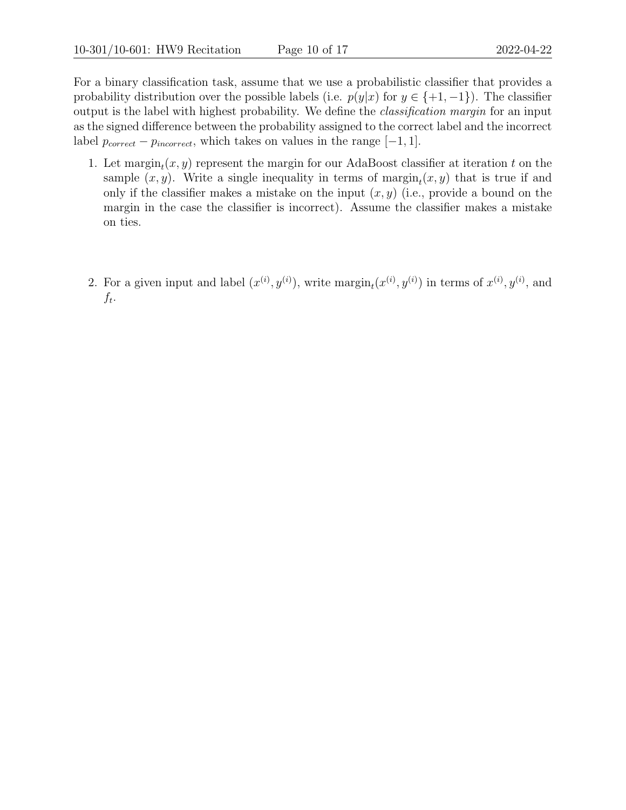For a binary classification task, assume that we use a probabilistic classifier that provides a probability distribution over the possible labels (i.e.  $p(y|x)$  for  $y \in \{+1, -1\}$ ). The classifier output is the label with highest probability. We define the classification margin for an input as the signed difference between the probability assigned to the correct label and the incorrect label  $p_{correct} - p_{incorrect}$ , which takes on values in the range  $[-1, 1]$ .

- 1. Let  $\mathrm{margin}_t(x, y)$  represent the margin for our AdaBoost classifier at iteration t on the sample  $(x, y)$ . Write a single inequality in terms of  $\mathrm{margin}_t(x, y)$  that is true if and only if the classifier makes a mistake on the input  $(x, y)$  (i.e., provide a bound on the margin in the case the classifier is incorrect). Assume the classifier makes a mistake on ties.
- 2. For a given input and label  $(x^{(i)}, y^{(i)})$ , write  $\mathrm{margin}_t(x^{(i)}, y^{(i)})$  in terms of  $x^{(i)}, y^{(i)}$ , and  $f_t$ .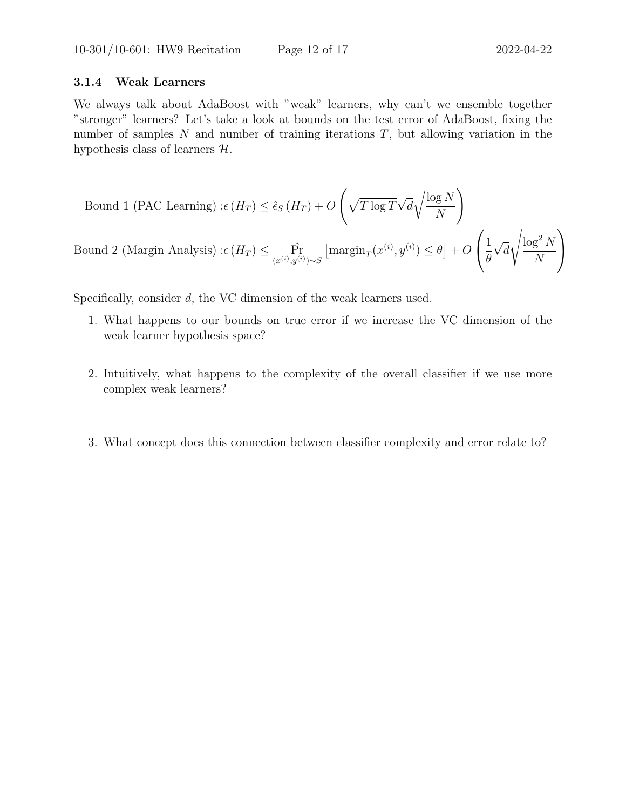#### 3.1.4 Weak Learners

We always talk about AdaBoost with "weak" learners, why can't we ensemble together "stronger" learners? Let's take a look at bounds on the test error of AdaBoost, fixing the number of samples  $N$  and number of training iterations  $T$ , but allowing variation in the hypothesis class of learners  $H$ .

Bound 1 (PAC Learning) : 
$$
\epsilon(H_T) \leq \hat{\epsilon}_S(H_T) + O\left(\sqrt{T \log T} \sqrt{d} \sqrt{\frac{\log N}{N}}\right)
$$
  
Bound 2 (Margin Analysis) :  $\epsilon(H_T) \leq \Pr_{(x^{(i)}, y^{(i)}) \sim S} \left[\operatorname{margin}_T(x^{(i)}, y^{(i)}) \leq \theta\right] + O\left(\frac{1}{\theta} \sqrt{d} \sqrt{\frac{\log^2 N}{N}}\right)$ 

Specifically, consider d, the VC dimension of the weak learners used.

- 1. What happens to our bounds on true error if we increase the VC dimension of the weak learner hypothesis space?
- 2. Intuitively, what happens to the complexity of the overall classifier if we use more complex weak learners? It becomes a more complex function, as it is a sum of more complex function, as it is a sum of more complex function, as it is a sum of  $\mu$
- 3. What concept does this connection between classifier complexity and error relate to? Overfitting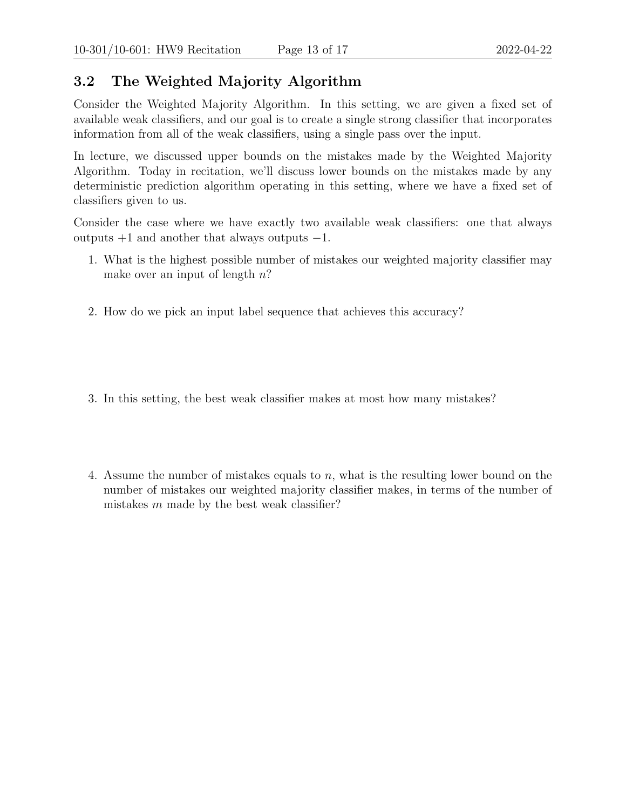## 3.2 The Weighted Majority Algorithm

Consider the Weighted Majority Algorithm. In this setting, we are given a fixed set of available weak classifiers, and our goal is to create a single strong classifier that incorporates information from all of the weak classifiers, using a single pass over the input.

In lecture, we discussed upper bounds on the mistakes made by the Weighted Majority Algorithm. Today in recitation, we'll discuss lower bounds on the mistakes made by any deterministic prediction algorithm operating in this setting, where we have a fixed set of classifiers given to us.

Consider the case where we have exactly two available weak classifiers: one that always outputs +1 and another that always outputs −1.

- 1. What is the highest possible number of mistakes our weighted majority classifier may make over an input of length  $n$ ?
- 2. How do we pick an input label sequence that achieves this accuracy?  $\mathbf{S}$  is deterministic, we can exactly model its deterministic, we can exactly model its deterministic, we can exactly model its deterministic, we can exactly model its deterministic, we can exactly model its determini
- 3. In this setting, the best weak classifier makes at most how many mistakes?
- 4. Assume the number of mistakes equals to n, what is the resulting lower bound on the number of mistakes our weighted majority classifier makes, in terms of the number of mistakes  $m$  made by the best weak classifier?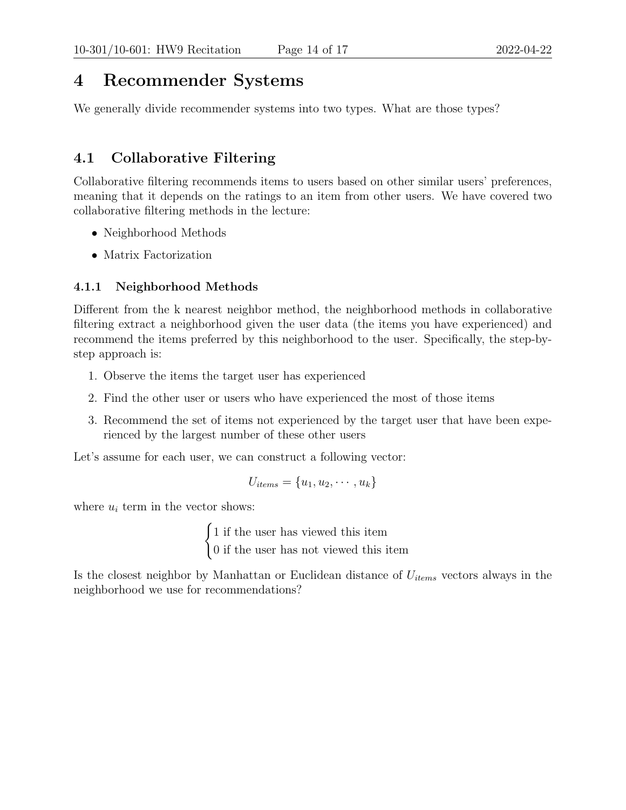# 4 Recommender Systems

We generally divide recommender systems into two types. What are those types?  $\overline{c}$  collaborative filtering and content-based filtering and content-based filtering  $\overline{c}$ 

## 4.1 Collaborative Filtering

Collaborative filtering recommends items to users based on other similar users' preferences, meaning that it depends on the ratings to an item from other users. We have covered two collaborative filtering methods in the lecture:

- Neighborhood Methods
- Matrix Factorization

### 4.1.1 Neighborhood Methods

Different from the k nearest neighbor method, the neighborhood methods in collaborative filtering extract a neighborhood given the user data (the items you have experienced) and recommend the items preferred by this neighborhood to the user. Specifically, the step-bystep approach is:

- 1. Observe the items the target user has experienced
- 2. Find the other user or users who have experienced the most of those items
- 3. Recommend the set of items not experienced by the target user that have been experienced by the largest number of these other users

Let's assume for each user, we can construct a following vector:

$$
U_{items} = \{u_1, u_2, \cdots, u_k\}
$$

where  $u_i$  term in the vector shows:

 $\int 1$  if the user has viewed this item 0 if the user has not viewed this item

Is the closest neighbor by Manhattan or Euclidean distance of  $U_{items}$  vectors always in the neighborhood we use for recommendations?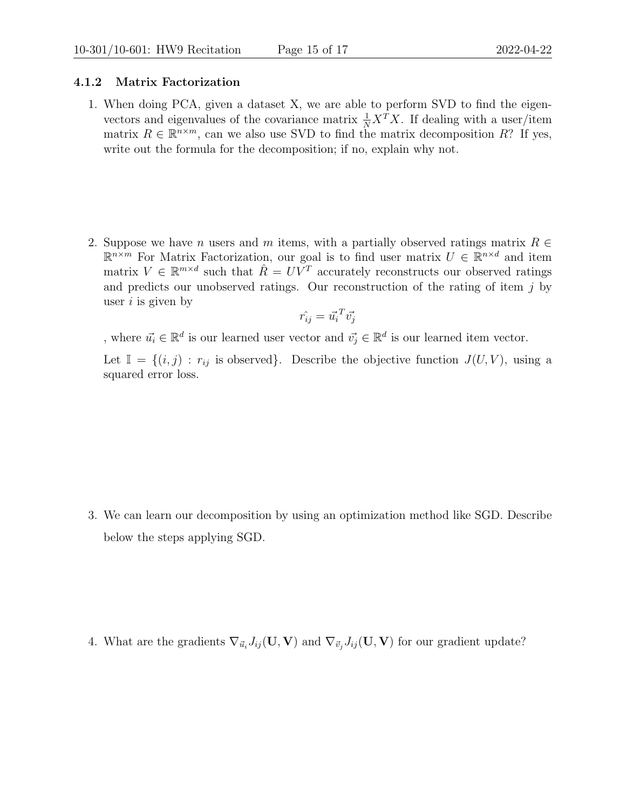#### 4.1.2 Matrix Factorization

- 1. When doing PCA, given a dataset X, we are able to perform SVD to find the eigenvectors and eigenvalues of the covariance matrix  $\frac{1}{N} X^T X$ . If dealing with a user/item matrix  $R \in \mathbb{R}^{n \times m}$ , can we also use SVD to find the matrix decomposition R? If yes, write out the formula for the decomposition; if no, explain why not.
- 2. Suppose we have n users and m items, with a partially observed ratings matrix  $R \in$  $\mathbb{R}^{n \times m}$  For Matrix Factorization, our goal is to find user matrix  $U \in \mathbb{R}^{n \times d}$  and item matrix  $V \in \mathbb{R}^{m \times d}$  such that  $\hat{R} = UV^T$  accurately reconstructs our observed ratings and predicts our unobserved ratings. Our reconstruction of the rating of item  $j$  by user  $i$  is given by

$$
\hat{r_{ij}} = \vec{u_i}^T \vec{v_j}
$$

, where  $\vec{u_i} \in \mathbb{R}^d$  is our learned user vector and  $\vec{v_j} \in \mathbb{R}^d$  is our learned item vector.

Let  $\mathbb{I} = \{(i, j) : r_{ij} \text{ is observed}\}.$  Describe the objective function  $J(U, V)$ , using a squared error loss.

3. We can learn our decomposition by using an optimization method like SGD. Describe below the steps applying SGD.

4. What are the gradients  $\nabla_{\vec{u}_i} J_{ij}(\mathbf{U}, \mathbf{V})$  and  $\nabla_{\vec{v}_i} J_{ij}(\mathbf{U}, \mathbf{V})$  for our gradient update?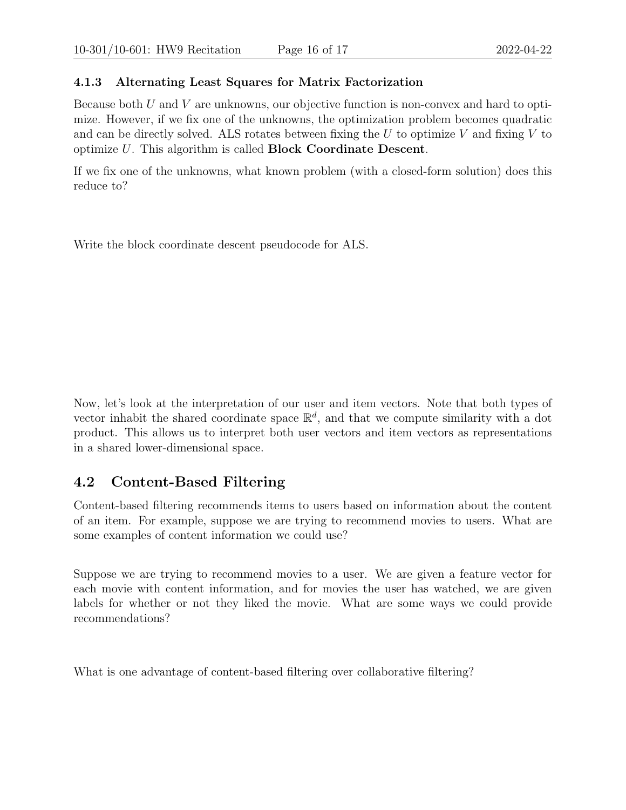#### 4.1.3 Alternating Least Squares for Matrix Factorization

Because both  $U$  and  $V$  are unknowns, our objective function is non-convex and hard to optimize. However, if we fix one of the unknowns, the optimization problem becomes quadratic and can be directly solved. ALS rotates between fixing the  $U$  to optimize  $V$  and fixing  $V$  to optimize U. This algorithm is called Block Coordinate Descent.

If we fix one of the unknowns, what known problem (with a closed-form solution) does this reduce to?

Write the block coordinate descent pseudocode for ALS.

Now, let's look at the interpretation of our user and item vectors. Note that both types of vector inhabit the shared coordinate space  $\mathbb{R}^d$ , and that we compute similarity with a dot product. This allows us to interpret both user vectors and item vectors as representations in a shared lower-dimensional space.

### 4.2 Content-Based Filtering

Content-based filtering recommends items to users based on information about the content of an item. For example, suppose we are trying to recommend movies to users. What are some examples of content information we could use?

Suppose we are trying to recommend movies to a user. We are given a feature vector for each movie with content information, and for movies the user has watched, we are given labels for whether or not they liked the movie. What are some ways we could provide recommendations?

What is one advantage of content-based filtering over collaborative filtering?  $\mathcal{L}$  need other users in the system at all; can start making making making making making making making making making making making making making making making making making making making making making making making ma